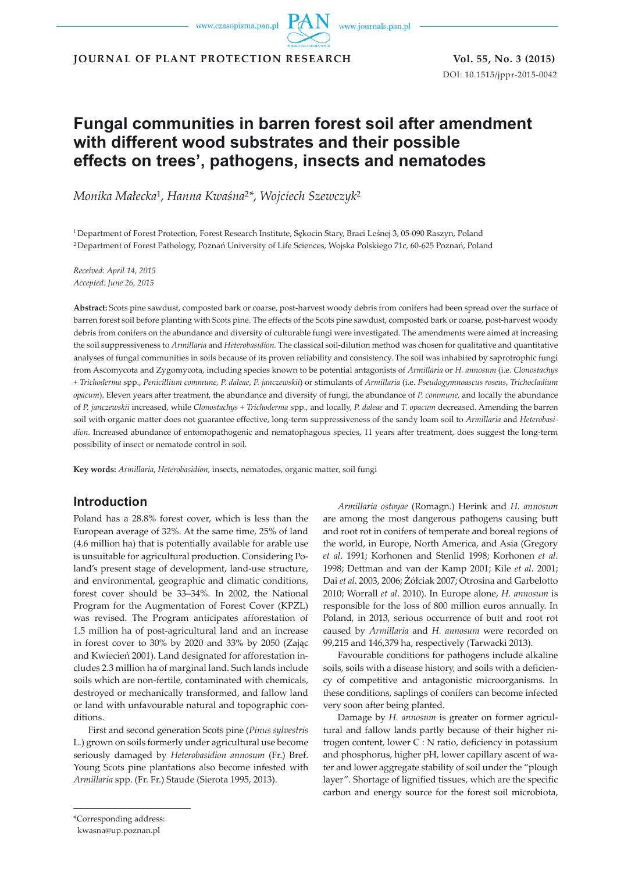www.czasopisma.pan.pl

www.journals.pan.pl

**JOURNAL OF PLANT PROTECTION RESEARCH Vol. 55, No. 3 (2015)**

DOI: 10.1515/jppr-2015-0042

# **Fungal communities in barren forest soil after amendment with different wood substrates and their possible effects on trees', pathogens, insects and nematodes**

*Monika Małecka*1, *Hanna Kwaśna*<sup>2</sup>*\**, *Wojciech Szewczyk*<sup>2</sup>

<sup>1</sup>Department of Forest Protection, Forest Research Institute, Sękocin Stary, Braci Leśnej 3, 05-090 Raszyn, Poland <sup>2</sup>Department of Forest Pathology, Poznań University of Life Sciences, Wojska Polskiego 71c, 60-625 Poznań, Poland

*Received: April 14, 2015 Accepted: June 26, 2015*

**Abstract:** Scots pine sawdust, composted bark or coarse, post-harvest woody debris from conifers had been spread over the surface of barren forest soil before planting with Scots pine. The effects of the Scots pine sawdust, composted bark or coarse, post-harvest woody debris from conifers on the abundance and diversity of culturable fungi were investigated. The amendments were aimed at increasing the soil suppressiveness to *Armillaria* and *Heterobasidion.* The classical soil-dilution method was chosen for qualitative and quantitative analyses of fungal communities in soils because of its proven reliability and consistency. The soil was inhabited by saprotrophic fungi from Ascomycota and Zygomycota, including species known to be potential antagonists of *Armillaria* or *H. annosum* (i.e. *Clonostachys + Trichoderma* spp., *Penicillium commune, P. daleae*, *P. janczewskii*) or stimulants of *Armillaria* (i.e. *Pseudogymnoascus roseus*, *Trichocladium opacum*). Eleven years after treatment, the abundance and diversity of fungi, the abundance of *P. commune*, and locally the abundance of *P. janczewskii* increased, while *Clonostachys + Trichoderma* spp., and locally, *P. daleae* and *T. opacum* decreased. Amending the barren soil with organic matter does not guarantee effective, long-term suppressiveness of the sandy loam soil to *Armillaria* and *Heterobasidion.* Increased abundance of entomopathogenic and nematophagous species, 11 years after treatment, does suggest the long-term possibility of insect or nematode control in soil.

**Key words:** *Armillaria*, *Heterobasidion,* insects, nematodes, organic matter, soil fungi

# **Introduction**

Poland has a 28.8% forest cover, which is less than the European average of 32%. At the same time, 25% of land (4.6 million ha) that is potentially available for arable use is unsuitable for agricultural production. Considering Poland's present stage of development, land-use structure, and environmental, geographic and climatic conditions, forest cover should be 33–34%. In 2002, the National Program for the Augmentation of Forest Cover (KPZL) was revised. The Program anticipates afforestation of 1.5 million ha of post-agricultural land and an increase in forest cover to 30% by 2020 and 33% by 2050 (Zając and Kwiecień 2001). Land designated for afforestation includes 2.3 million ha of marginal land. Such lands include soils which are non-fertile, contaminated with chemicals, destroyed or mechanically transformed, and fallow land or land with unfavourable natural and topographic conditions.

First and second generation Scots pine (*Pinus sylvestris*  L.) grown on soils formerly under agricultural use become seriously damaged by *Heterobasidion annosum* (Fr.) Bref. Young Scots pine plantations also become infested with *Armillaria* spp. (Fr. Fr.) Staude (Sierota 1995, 2013).

*Armillaria ostoyae* (Romagn.) Herink and *H. annosum* are among the most dangerous pathogens causing butt and root rot in conifers of temperate and boreal regions of the world, in Europe, North America, and Asia (Gregory *et al*. 1991; Korhonen and Stenlid 1998; Korhonen *et al*. 1998; Dettman and van der Kamp 2001; Kile *et al*. 2001; Dai *et al*. 2003, 2006; Żółciak 2007; Otrosina and Garbelotto 2010; Worrall *et al*. 2010). In Europe alone, *H. annosum* is responsible for the loss of 800 million euros annually. In Poland, in 2013, serious occurrence of butt and root rot caused by *Armillaria* and *H. annosum* were recorded on 99,215 and 146,379 ha, respectively (Tarwacki 2013).

Favourable conditions for pathogens include alkaline soils, soils with a disease history, and soils with a deficiency of competitive and antagonistic microorganisms. In these conditions, saplings of conifers can become infected very soon after being planted.

Damage by *H. annosum* is greater on former agricultural and fallow lands partly because of their higher nitrogen content, lower C : N ratio, deficiency in potassium and phosphorus, higher pH, lower capillary ascent of water and lower aggregate stability of soil under the "plough layer". Shortage of lignified tissues, which are the specific carbon and energy source for the forest soil microbiota,

<sup>\*</sup>Corresponding address:

kwasna@up.poznan.pl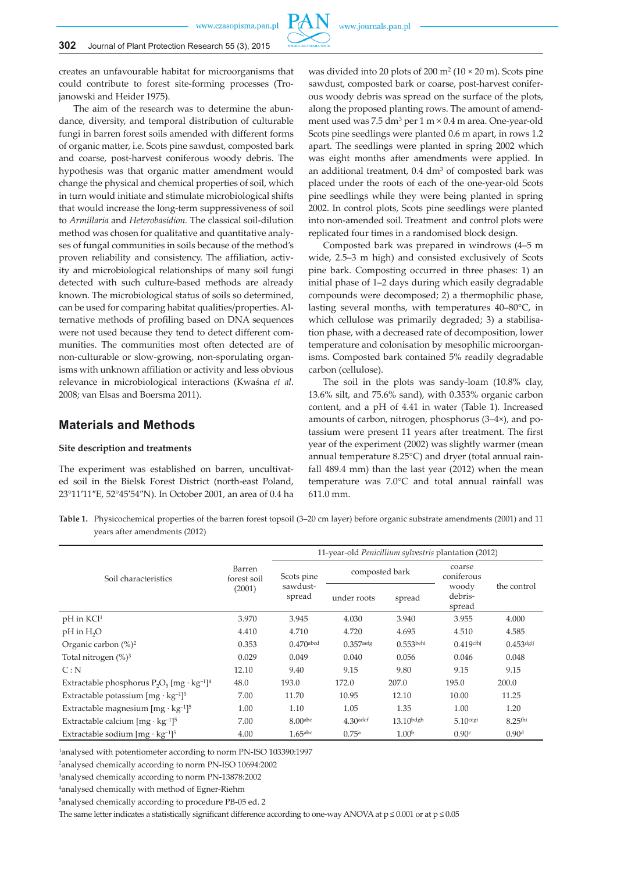www.czasopisma.pan.pl



creates an unfavourable habitat for microorganisms that could contribute to forest site-forming processes (Trojanowski and Heider 1975).

The aim of the research was to determine the abundance, diversity, and temporal distribution of culturable fungi in barren forest soils amended with different forms of organic matter, i.e. Scots pine sawdust, composted bark and coarse, post-harvest coniferous woody debris. The hypothesis was that organic matter amendment would change the physical and chemical properties of soil, which in turn would initiate and stimulate microbiological shifts that would increase the long-term suppressiveness of soil to *Armillaria* and *Heterobasidion.* The classical soil-dilution method was chosen for qualitative and quantitative analyses of fungal communities in soils because of the method's proven reliability and consistency. The affiliation, activity and microbiological relationships of many soil fungi detected with such culture-based methods are already known. The microbiological status of soils so determined, can be used for comparing habitat qualities/properties. Alternative methods of profiling based on DNA sequences were not used because they tend to detect different communities. The communities most often detected are of non-culturable or slow-growing, non-sporulating organisms with unknown affiliation or activity and less obvious relevance in microbiological interactions (Kwaśna *et al*. 2008; van Elsas and Boersma 2011).

## **Materials and Methods**

#### **Site description and treatments**

The experiment was established on barren, uncultivated soil in the Bielsk Forest District (north-east Poland, 23°11′11″E, 52°45′54″N). In October 2001, an area of 0.4 ha

was divided into 20 plots of 200 m<sup>2</sup> (10  $\times$  20 m). Scots pine sawdust, composted bark or coarse, post-harvest coniferous woody debris was spread on the surface of the plots, along the proposed planting rows. The amount of amendment used was 7.5 dm<sup>3</sup> per 1 m × 0.4 m area. One-year-old Scots pine seedlings were planted 0.6 m apart, in rows 1.2 apart. The seedlings were planted in spring 2002 which was eight months after amendments were applied. In an additional treatment, 0.4 dm<sup>3</sup> of composted bark was placed under the roots of each of the one-year-old Scots pine seedlings while they were being planted in spring 2002. In control plots, Scots pine seedlings were planted into non-amended soil. Treatment and control plots were replicated four times in a randomised block design.

Composted bark was prepared in windrows (4–5 m wide, 2.5–3 m high) and consisted exclusively of Scots pine bark. Composting occurred in three phases: 1) an initial phase of 1–2 days during which easily degradable compounds were decomposed; 2) a thermophilic phase, lasting several months, with temperatures 40–80°C, in which cellulose was primarily degraded; 3) a stabilisation phase, with a decreased rate of decomposition, lower temperature and colonisation by mesophilic microorganisms. Composted bark contained 5% readily degradable carbon (cellulose).

The soil in the plots was sandy-loam (10.8% clay, 13.6% silt, and 75.6% sand), with 0.353% organic carbon content, and a pH of 4.41 in water (Table 1). Increased amounts of carbon, nitrogen, phosphorus (3–4×), and potassium were present 11 years after treatment. The first year of the experiment (2002) was slightly warmer (mean annual temperature 8.25°C) and dryer (total annual rainfall 489.4 mm) than the last year (2012) when the mean temperature was 7.0°C and total annual rainfall was 611.0 mm.

**Table 1.** Physicochemical properties of the barren forest topsoil (3–20 cm layer) before organic substrate amendments (2001) and 11 years after amendments (2012)

|                                                                       |                       | 11-year-old Penicillium sylvestris plantation (2012) |                        |                   |                            |                   |  |  |  |  |
|-----------------------------------------------------------------------|-----------------------|------------------------------------------------------|------------------------|-------------------|----------------------------|-------------------|--|--|--|--|
| Soil characteristics                                                  | Barren<br>forest soil | Scots pine                                           | composted bark         |                   | coarse<br>coniferous       |                   |  |  |  |  |
|                                                                       | (2001)                | sawdust-<br>spread                                   | under roots            | spread            | woody<br>debris-<br>spread | the control       |  |  |  |  |
| pH in KCl <sup>1</sup>                                                | 3.970                 | 3.945                                                | 4.030                  | 3.940             | 3.955                      | 4.000             |  |  |  |  |
| pH in H <sub>2</sub> O                                                | 4.410                 | 4.710                                                | 4.720                  | 4.695             | 4.510                      | 4.585             |  |  |  |  |
| Organic carbon $(\%)^2$                                               | 0.353                 | $0.470$ abcd                                         | $0.357$ aefg           | $0.553$ behi      | $0.419$ cfhj               | $0.453$ dgij      |  |  |  |  |
| Total nitrogen $(\%)^3$                                               | 0.029                 | 0.049                                                | 0.040                  | 0.056             | 0.046                      | 0.048             |  |  |  |  |
| C: N                                                                  | 12.10                 | 9.40                                                 | 9.15                   | 9.80              | 9.15                       | 9.15              |  |  |  |  |
| Extractable phosphorus $P_2O_5$ [mg · kg <sup>-1</sup> ] <sup>4</sup> | 48.0                  | 193.0                                                | 172.0                  | 207.0             | 195.0                      | 200.0             |  |  |  |  |
| Extractable potassium $[mg \cdot kg^{-1}]^5$                          | 7.00                  | 11.70                                                | 10.95                  | 12.10             | 10.00                      | 11.25             |  |  |  |  |
| Extractable magnesium $[mg \cdot kg^{-1}]^5$                          | 1.00                  | 1.10                                                 | 1.05                   | 1.35              | 1.00                       | 1.20              |  |  |  |  |
| Extractable calcium $[mg \cdot kg^{-1}]^5$                            | 7.00                  | 8.00 <sub>abc</sub>                                  | $4.30$ <sup>adef</sup> | $13.10$ bdgh      | $5.10$ cegi                | $8.25$ fhi        |  |  |  |  |
| Extractable sodium $[mg \cdot kg^{-1}]^5$                             | 4.00                  | $1.65$ abc                                           | 0.75a                  | 1.00 <sup>b</sup> | 0.90c                      | 0.90 <sup>d</sup> |  |  |  |  |

<sup>1</sup>analysed with potentiometer according to norm PN-ISO 103390:1997

<sup>2</sup>analysed chemically according to norm PN-ISO 10694:2002

3analysed chemically according to norm PN-13878:2002

<sup>4</sup>analysed chemically with method of Egner-Riehm

<sup>5</sup>analysed chemically according to procedure PB-05 ed. 2

The same letter indicates a statistically significant difference according to one-way ANOVA at p ≤ 0.001 or at p *≤* 0.05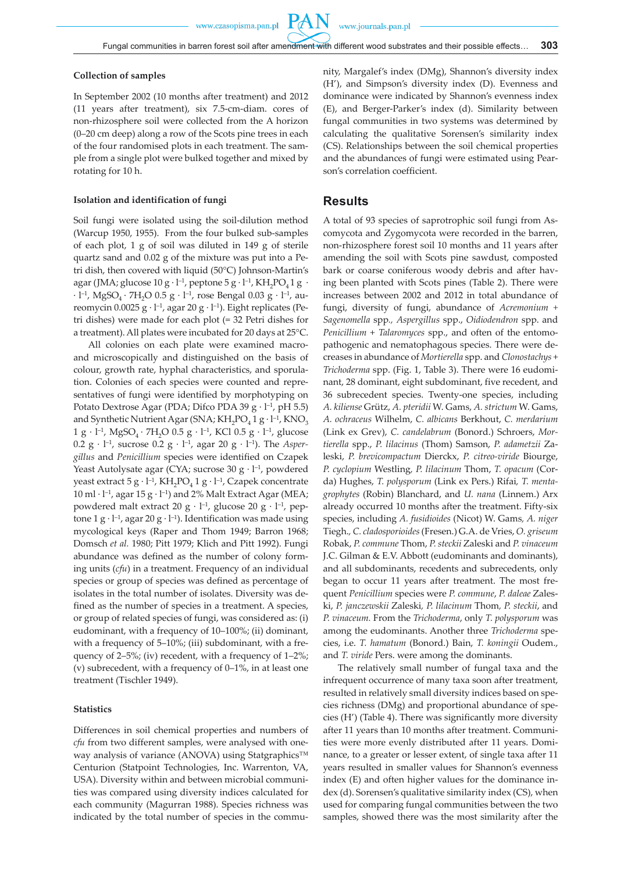PA

#### **Collection of samples**

In September 2002 (10 months after treatment) and 2012 (11 years after treatment), six 7.5-cm-diam. cores of non-rhizosphere soil were collected from the A horizon (0–20 cm deep) along a row of the Scots pine trees in each of the four randomised plots in each treatment. The sample from a single plot were bulked together and mixed by rotating for 10 h.

#### **Isolation and identification of fungi**

Soil fungi were isolated using the soil-dilution method (Warcup 1950, 1955). From the four bulked sub-samples of each plot, 1 g of soil was diluted in 149 g of sterile quartz sand and 0.02 g of the mixture was put into a Petri dish, then covered with liquid (50°C) Johnson-Martin's agar (JMA; glucose 10 g ⋅ l<sup>-1</sup>, peptone 5 g ⋅ l<sup>-1</sup>, KH<sub>2</sub>PO<sub>4</sub> 1 g ⋅ ∙ l–1, MgSO4 ∙ 7H2O 0.5 g ∙ l–1, rose Bengal 0.03 g ∙ l–1, aureomycin 0.0025 g ∙ l–1, agar 20 g ∙ l–1). Eight replicates (Petri dishes) were made for each plot (= 32 Petri dishes for a treatment). All plates were incubated for 20 days at 25°C.

All colonies on each plate were examined macroand microscopically and distinguished on the basis of colour, growth rate, hyphal characteristics, and sporulation. Colonies of each species were counted and representatives of fungi were identified by morphotyping on Potato Dextrose Agar (PDA; Difco PDA 39 g ⋅ l<sup>-1</sup>, pH 5.5) and Synthetic Nutrient Agar (SNA; KH<sub>2</sub>PO<sub>4</sub> 1 g ⋅ l<sup>-1</sup>, KNO<sub>3</sub> 1 g ⋅ l<sup>-1</sup>, MgSO<sub>4</sub> ⋅ 7H<sub>2</sub>O 0.5 g ⋅ l<sup>-1</sup>, KCl 0.5 g ⋅ l<sup>-1</sup>, glucose 0.2 g ∙ l–1, sucrose 0.2 g ∙ l–1, agar 20 g ∙ l–1). The *Aspergillus* and *Penicillium* species were identified on Czapek Yeast Autolysate agar (CYA; sucrose 30 g ∙ l–1, powdered yeast extract 5 g ⋅ l<sup>-1</sup>, KH<sub>2</sub>PO<sub>4</sub> 1 g ⋅ l<sup>-1</sup>, Czapek concentrate  $10 \text{ ml} \cdot \text{ l}^{-1}$ , agar  $15 \text{ g} \cdot \text{ l}^{-1}$ ) and 2% Malt Extract Agar (MEA; powdered malt extract 20 g ⋅ l<sup>-1</sup>, glucose 20 g ⋅ l<sup>-1</sup>, peptone 1 g ⋅ l<sup>-1</sup>, agar 20 g ⋅ l<sup>-1</sup>). Identification was made using mycological keys (Raper and Thom 1949; Barron 1968; Domsch *et al.* 1980; Pitt 1979; Klich and Pitt 1992). Fungi abundance was defined as the number of colony forming units (*cfu*) in a treatment. Frequency of an individual species or group of species was defined as percentage of isolates in the total number of isolates. Diversity was defined as the number of species in a treatment. A species, or group of related species of fungi, was considered as: (i) eudominant, with a frequency of 10–100%; (ii) dominant, with a frequency of 5–10%; (iii) subdominant, with a frequency of 2–5%; (iv) recedent, with a frequency of 1–2%; (v) subrecedent, with a frequency of 0–1%, in at least one treatment (Tischler 1949).

#### **Statistics**

Differences in soil chemical properties and numbers of *cfu* from two different samples, were analysed with oneway analysis of variance (ANOVA) using Statgraphics™ Centurion (Statpoint Technologies, Inc. Warrenton, VA, USA). Diversity within and between microbial communities was compared using diversity indices calculated for each community (Magurran 1988). Species richness was indicated by the total number of species in the community, Margalef's index (DMg), Shannon's diversity index (H'), and Simpson's diversity index (D). Evenness and dominance were indicated by Shannon's evenness index (E), and Berger-Parker's index (d). Similarity between fungal communities in two systems was determined by calculating the qualitative Sorensen's similarity index (CS). Relationships between the soil chemical properties and the abundances of fungi were estimated using Pearson's correlation coefficient.

## **Results**

A total of 93 species of saprotrophic soil fungi from Ascomycota and Zygomycota were recorded in the barren, non-rhizosphere forest soil 10 months and 11 years after amending the soil with Scots pine sawdust, composted bark or coarse coniferous woody debris and after having been planted with Scots pines (Table 2). There were increases between 2002 and 2012 in total abundance of fungi, diversity of fungi, abundance of *Acremonium + Sagenomella* spp*., Aspergillus* spp., *Oidiodendron* spp. and *Penicillium* + *Talaromyces* spp., and often of the entomopathogenic and nematophagous species. There were decreases in abundance of *Mortierella* spp. and *Clonostachys* + *Trichoderma* spp. (Fig. 1, Table 3). There were 16 eudominant, 28 dominant, eight subdominant, five recedent, and 36 subrecedent species. Twenty-one species, including *A. kiliense* Grütz, *A. pteridii* W. Gams, *A. strictum* W. Gams, *A. ochraceus* Wilhelm, *C. albicans* Berkhout, *C. merdarium*  (Link ex Grev), *C. candelabrum* (Bonord.) Schroers, *Mortierella* spp., *P. lilacinus* (Thom) Samson, *P. adametzii* Zaleski, *P. brevicompactum* Dierckx, *P. citreo-viride* Biourge, *P. cyclopium* Westling*, P. lilacinum* Thom, *T. opacum* (Corda) Hughes, *T. polysporum* (Link ex Pers.) Rifai*, T. mentagrophytes* (Robin) Blanchard, and *U. nana* (Linnem.) Arx already occurred 10 months after the treatment. Fifty-six species, including *A. fusidioides* (Nicot) W. Gams*, A. niger*  Tiegh.*, C. cladosporioides* (Fresen.) G.A. de Vries, *O. griseum*  Robak, *P. commune* Thom, *P. steckii* Zaleski and *P. vinaceum*  J.C. Gilman & E.V. Abbott (eudominants and dominants), and all subdominants, recedents and subrecedents, only began to occur 11 years after treatment. The most frequent *Penicillium* species were *P. commune*, *P. daleae* Zaleski, *P. janczewskii* Zaleski*, P. lilacinum* Thom*, P. steckii*, and *P. vinaceum.* From the *Trichoderma*, only *T. polysporum* was among the eudominants. Another three *Trichoderma* species, i.e. *T. hamatum* (Bonord.) Bain, *T. koningii* Oudem., and *T. viride* Pers. were among the dominants.

The relatively small number of fungal taxa and the infrequent occurrence of many taxa soon after treatment, resulted in relatively small diversity indices based on species richness (DMg) and proportional abundance of species (H') (Table 4). There was significantly more diversity after 11 years than 10 months after treatment. Communities were more evenly distributed after 11 years. Dominance, to a greater or lesser extent, of single taxa after 11 years resulted in smaller values for Shannon's evenness index (E) and often higher values for the dominance index (d). Sorensen's qualitative similarity index (CS), when used for comparing fungal communities between the two samples, showed there was the most similarity after the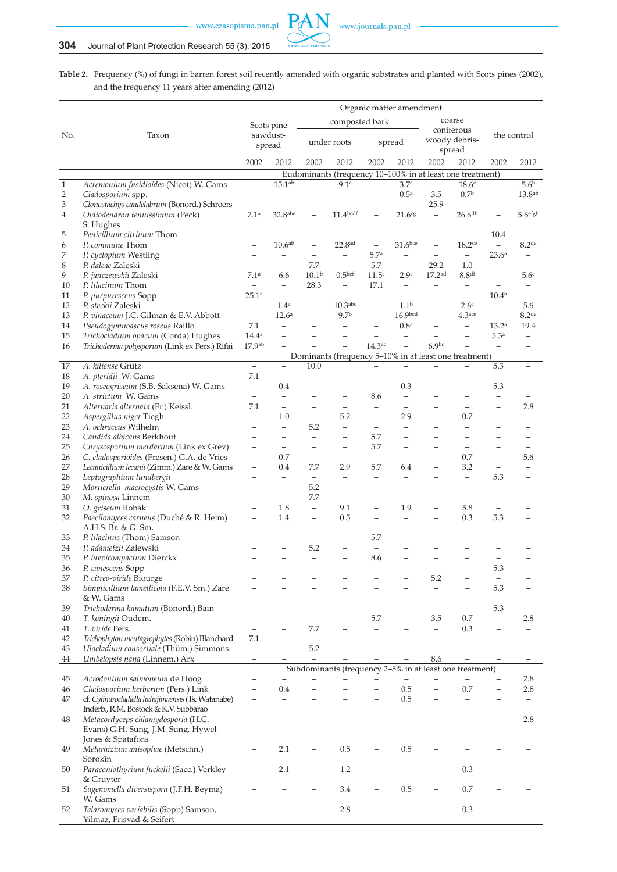

**Table 2.** Frequency (%) of fungi in barren forest soil recently amended with organic substrates and planted with Scots pines (2002), and the frequency 11 years after amending (2012)

|                |                                                                               | Organic matter amendment                |                          |                          |                                                           |                             |                          |                                               |                                               |                          |                          |  |
|----------------|-------------------------------------------------------------------------------|-----------------------------------------|--------------------------|--------------------------|-----------------------------------------------------------|-----------------------------|--------------------------|-----------------------------------------------|-----------------------------------------------|--------------------------|--------------------------|--|
|                |                                                                               | composted bark<br>Scots pine            |                          |                          |                                                           |                             |                          |                                               | coarse                                        |                          |                          |  |
| No.            | Taxon                                                                         | sawdust-<br>spread                      |                          |                          | under roots                                               | spread                      |                          | coniferous<br>woody debris-<br>spread         |                                               |                          | the control              |  |
|                |                                                                               | 2002                                    | 2012                     | 2002                     | 2012                                                      | 2002                        | 2012                     | 2002                                          | 2012                                          | 2002                     | 2012                     |  |
|                |                                                                               |                                         |                          |                          | Eudominants (frequency 10-100% in at least one treatment) |                             |                          |                                               |                                               |                          |                          |  |
| $\mathbf{1}$   | Acremonium fusidioides (Nicot) W. Gams                                        | $\overline{\phantom{a}}$                | 15.1 <sup>ab</sup>       | $\overline{\phantom{0}}$ | 9.1c                                                      | $\equiv$                    | 3.7 <sup>a</sup>         | $\equiv$                                      | 18.6 <sup>c</sup>                             | $\qquad \qquad -$        | 5.6 <sup>b</sup>         |  |
| $\overline{2}$ | Cladosporium spp.                                                             | $\qquad \qquad -$                       | $\overline{\phantom{0}}$ | $\qquad \qquad -$        | $\equiv$                                                  | $\equiv$                    | 0.5 <sup>a</sup>         | 3.5                                           | 0.7 <sup>b</sup>                              | $\equiv$                 | $13.8^{\rm ab}$          |  |
| 3              | Clonostachys candelabrum (Bonord.) Schroers                                   | $\overline{\phantom{a}}$                | $\equiv$                 | $\overline{\phantom{m}}$ | $\equiv$                                                  | $\qquad \qquad -$           | $\equiv$                 | 25.9                                          | $\qquad \qquad -$                             | $\overline{\phantom{0}}$ | $\overline{\phantom{m}}$ |  |
| 4              | Oidiodendron tenuissimum (Peck)<br>S. Hughes                                  | 7.1 <sup>a</sup>                        | $32.8$ abe               |                          | 11.4 <sup>bcdf</sup>                                      |                             | 21.6 <sup>cg</sup>       | $\equiv$                                      | $26.6$ <sup>dh</sup>                          |                          | 5.6 <sup>efgh</sup>      |  |
| 5              | Penicillium citrinum Thom                                                     |                                         |                          |                          |                                                           |                             |                          |                                               | $\qquad \qquad -$                             | 10.4                     |                          |  |
| 6              | P. commune Thom                                                               | $\overline{\phantom{0}}$                | 10.6 <sup>ab</sup>       | $\overline{\phantom{0}}$ | 22.8 <sup>ad</sup>                                        | $\qquad \qquad -$           | $31.6$ bce               | $\overline{\phantom{a}}$                      | $18.2$ ce                                     | $\equiv$                 | 8.2 <sup>de</sup>        |  |
| 7              | P. cyclopium Westling                                                         | $\qquad \qquad -$                       | $\qquad \qquad -$        | $\overline{\phantom{m}}$ | $\qquad \qquad -$                                         | 5.7 <sup>a</sup>            | $\overline{\phantom{0}}$ | $\equiv$                                      | $\overline{\phantom{a}}$                      | 23.6 <sup>a</sup>        | $\overline{\phantom{a}}$ |  |
| 8              | P. daleae Zaleski                                                             | $\overline{\phantom{m}}$                | $\equiv$                 | 7.7                      | $\equiv$                                                  | 5.7                         | $\equiv$                 | 29.2                                          | $1.0\,$                                       | $\qquad \qquad -$        | $\equiv$                 |  |
| 9              | P. janczewskii Zaleski                                                        | 7.1a                                    | 6.6                      | 10.1 <sup>b</sup>        | 0.5 <sup>bef</sup>                                        | 11.5 <sup>c</sup>           | 2.9c                     | 17.2 <sup>ad</sup>                            | 8.8 <sup>df</sup>                             | $\overline{\phantom{0}}$ | 5.6 <sup>e</sup>         |  |
| 10             | P. lilacinum Thom                                                             | $\qquad \qquad -$                       | $\equiv$                 | 28.3                     | $\qquad \qquad -$                                         | 17.1                        | $\overline{\phantom{m}}$ | $\overline{\phantom{0}}$                      | $\overline{\phantom{a}}$                      | $\overline{\phantom{0}}$ | $\overline{\phantom{m}}$ |  |
| 11             | P. purpurescens Sopp                                                          | 25.1a                                   | $\qquad \qquad -$        | $\overline{\phantom{m}}$ | $\overline{\phantom{0}}$                                  | $\overline{\phantom{0}}$    | $\overline{\phantom{0}}$ |                                               | $\overline{\phantom{m}}$                      | 10.4 <sup>a</sup>        | $\overline{\phantom{m}}$ |  |
| 12             | P. steckii Zaleski                                                            | $\overline{\phantom{a}}$                | 1.4 <sup>a</sup>         | $\equiv$                 | $10.3$ abc                                                | $\overline{\phantom{0}}$    | 1.1 <sup>b</sup>         | $\equiv$                                      | 2.6 <sup>c</sup>                              | $\qquad \qquad -$        | 5.6                      |  |
| 13             | P. vinaceum J.C. Gilman & E.V. Abbott                                         | $\qquad \qquad -$                       | 12.6 <sup>a</sup>        | $\overline{\phantom{m}}$ | 9.7 <sup>b</sup>                                          | $\qquad \qquad -$           | 16.9 <sub>bcd</sub>      | $\overline{\phantom{0}}$                      | $4.3$ <sub>ace</sub>                          | $\equiv$                 | 8.2 <sup>de</sup>        |  |
| 14             | Pseudogymnoascus roseus Raillo                                                | 7.1                                     | $\equiv$                 | $\overline{\phantom{0}}$ | $\overline{\phantom{0}}$                                  | $\overline{\phantom{0}}$    | 0.8 <sup>a</sup>         | L,                                            | $\equiv$                                      | 13.2 <sup>a</sup>        | 19.4                     |  |
| 15             | Trichocladium opacum (Corda) Hughes                                           | 14.4 <sup>a</sup><br>17.9 <sup>ab</sup> | $\equiv$                 | $\equiv$                 | $\overline{\phantom{0}}$                                  | $\qquad \qquad -$<br>14.3ac | $\equiv$<br>L,           | $\overline{\phantom{0}}$<br>6.9 <sub>bc</sub> | $\qquad \qquad -$<br>$\overline{\phantom{0}}$ | 5.3 <sup>a</sup>         | $\equiv$                 |  |
| 16             | Trichoderma polysporum (Link ex Pers.) Rifai                                  |                                         | $\equiv$                 |                          | Dominants (frequency 5-10% in at least one treatment)     |                             |                          |                                               |                                               | $\overline{\phantom{a}}$ | $\qquad \qquad -$        |  |
| $17\,$         | A. kiliense Grütz                                                             | $\overline{\phantom{0}}$                | $\overline{\phantom{0}}$ | 10.0                     |                                                           |                             | $\overline{\phantom{0}}$ |                                               |                                               | 5.3                      | $\overline{\phantom{m}}$ |  |
| 18             | A. pteridii W. Gams                                                           | 7.1                                     | $\qquad \qquad -$        | $\equiv$                 |                                                           | -<br>$\equiv$               | $\overline{\phantom{0}}$ |                                               | $\equiv$                                      | $\qquad \qquad -$        | $\overline{\phantom{m}}$ |  |
| 19             | A. roseogriseum (S.B. Saksena) W. Gams                                        | $\overline{\phantom{0}}$                | 0.4                      | $\overline{\phantom{0}}$ | $\overline{\phantom{0}}$                                  | $\equiv$                    | 0.3                      | -                                             | $\qquad \qquad -$                             | 5.3                      | $\qquad \qquad -$        |  |
| 20             | A. strictum W. Gams                                                           | $\overline{\phantom{m}}$                | $\equiv$                 | $\overline{\phantom{0}}$ | $\qquad \qquad -$                                         | 8.6                         | $\equiv$                 | $\overline{\phantom{0}}$                      | $\qquad \qquad -$                             | $\qquad \qquad -$        | $\overline{\phantom{m}}$ |  |
| 21             | Alternaria alternata (Fr.) Keissl.                                            | 7.1                                     | $\overline{\phantom{0}}$ | $\overline{\phantom{0}}$ | $\qquad \qquad -$                                         | $\overline{\phantom{0}}$    | $\overline{\phantom{0}}$ | $\overline{\phantom{0}}$                      | $\overline{\phantom{a}}$                      | $\overline{\phantom{0}}$ | 2.8                      |  |
| 22             | Aspergillus niger Tiegh.                                                      | $\equiv$                                | 1.0                      | $\overline{\phantom{m}}$ | 5.2                                                       | $\equiv$                    | 2.9                      | $\overline{\phantom{0}}$                      | 0.7                                           | $\qquad \qquad -$        | $\overline{\phantom{0}}$ |  |
| 23             | A. ochraceus Wilhelm                                                          | $\overline{\phantom{a}}$                | $\qquad \qquad -$        | 5.2                      | $\qquad \qquad -$                                         | $\overline{\phantom{a}}$    | $\qquad \qquad -$        | —                                             | $\equiv$                                      | $\qquad \qquad -$        | $\overline{\phantom{0}}$ |  |
| 24             | Candida albicans Berkhout                                                     | $\qquad \qquad -$                       | $\qquad \qquad -$        | $\equiv$                 | $\overline{\phantom{0}}$                                  | 5.7                         | $\overline{\phantom{0}}$ | $\overline{\phantom{0}}$                      | $\overline{\phantom{0}}$                      | $\qquad \qquad -$        | $\overline{\phantom{0}}$ |  |
| 25             | Chrysosporium merdarium (Link ex Grev)                                        | $\overline{\phantom{m}}$                | $\qquad \qquad -$        | $\overline{\phantom{m}}$ | $\overline{\phantom{m}}$                                  | 5.7                         | $\equiv$                 | $\overline{\phantom{0}}$                      | $\overline{\phantom{a}}$                      | $\qquad \qquad -$        | $\overline{\phantom{m}}$ |  |
| 26             | C. cladosporioides (Fresen.) G.A. de Vries                                    | $\qquad \qquad -$                       | 0.7                      | $\overline{\phantom{0}}$ | $\qquad \qquad -$                                         | $\overline{\phantom{m}}$    | $\equiv$                 | $\overline{\phantom{0}}$                      | 0.7                                           | $\overline{\phantom{0}}$ | 5.6                      |  |
| 27             | Lecanicillium lecanii (Zimm.) Zare & W. Gams                                  | $\overline{\phantom{m}}$                | 0.4                      | 7.7                      | 2.9                                                       | 5.7                         | 6.4                      | $\qquad \qquad -$                             | 3.2                                           | $\qquad \qquad -$        | $\overline{\phantom{0}}$ |  |
| 28             | Leptographium lundbergii                                                      | $\overline{\phantom{0}}$                | $\qquad \qquad -$        | $\equiv$                 | $\overline{\phantom{0}}$                                  | $\overline{\phantom{0}}$    | $\overline{\phantom{0}}$ | $\qquad \qquad -$                             | $\qquad \qquad -$                             | 5.3                      | $\overline{\phantom{0}}$ |  |
| 29             | Mortierella macrocystis W. Gams                                               | $\overline{\phantom{0}}$                | $\overline{\phantom{0}}$ | 5.2                      | $\overline{\phantom{0}}$                                  | $\overline{\phantom{0}}$    | $\overline{\phantom{0}}$ | $\overline{\phantom{0}}$                      | $\qquad \qquad -$                             | $\overline{\phantom{0}}$ | $\qquad \qquad$          |  |
| 30             | M. spinosa Linnem                                                             | $\overline{\phantom{0}}$                | $\overline{\phantom{0}}$ | 7.7                      | $\overline{\phantom{0}}$                                  | $\equiv$                    | $\overline{\phantom{0}}$ | $\overline{\phantom{0}}$                      | $\overline{\phantom{m}}$                      | $\overline{\phantom{0}}$ |                          |  |
| 31             | O. griseum Robak                                                              | $\overline{\phantom{m}}$                | 1.8                      | $\equiv$                 | 9.1                                                       | $\equiv$                    | 1.9                      | $\qquad \qquad -$                             | 5.8                                           | $\overline{\phantom{0}}$ | $\overline{\phantom{0}}$ |  |
| 32             | Paecilomyces carneus (Duché & R. Heim)<br>A.H.S. Br. & G. Sm.                 | $\qquad \qquad -$                       | 1.4                      | $\equiv$                 | 0.5                                                       |                             | $\overline{a}$           | $\overline{\phantom{0}}$                      | 0.3                                           | 5.3                      |                          |  |
| 33             | P. lilacinus (Thom) Samson                                                    |                                         |                          | $\qquad \qquad -$        | $\overline{\phantom{0}}$                                  | 5.7                         | L,                       |                                               |                                               |                          |                          |  |
| 34             | P. adametzii Zalewski                                                         |                                         | L,                       | 5.2                      | $\overline{\phantom{0}}$                                  | $\equiv$                    |                          |                                               |                                               |                          |                          |  |
| 35             | P. brevicompactum Dierckx                                                     | $\overline{\phantom{0}}$                | $\overline{\phantom{0}}$ | $\overline{\phantom{0}}$ | $\overline{\phantom{0}}$                                  | 8.6                         |                          |                                               |                                               |                          |                          |  |
| $36\,$         | P. canescens Sopp                                                             |                                         |                          |                          |                                                           |                             |                          |                                               |                                               | 5.3                      |                          |  |
| 37             | P. citreo-viride Biourge                                                      |                                         |                          |                          |                                                           |                             | $\overline{\phantom{0}}$ | 5.2                                           | $\qquad \qquad -$                             | $\overline{\phantom{0}}$ |                          |  |
| 38             | Simplicillium lamellicola (F.E.V. Sm.) Zare<br>& W. Gams                      |                                         |                          |                          |                                                           |                             |                          | $\equiv$                                      | $\qquad \qquad -$                             | 5.3                      |                          |  |
| 39             | Trichoderma hamatum (Bonord.) Bain                                            | —                                       |                          |                          |                                                           | $\overline{\phantom{0}}$    | -                        | $\qquad \qquad -$                             | $\qquad \qquad -$                             | 5.3                      | $\overline{\phantom{m}}$ |  |
| 40             | T. koningii Oudem.                                                            | $\overline{\phantom{0}}$                |                          |                          |                                                           | 5.7                         |                          | 3.5                                           | 0.7                                           | $\qquad \qquad -$        | 2.8                      |  |
| 41             | T. viride Pers.                                                               | $\equiv$                                |                          | 7.7                      |                                                           | $\overline{\phantom{0}}$    |                          | $\overline{\phantom{0}}$                      | 0.3                                           | $\qquad \qquad -$        | $\overline{\phantom{0}}$ |  |
| 42             | Trichophyton mentagrophytes (Robin) Blanchard                                 | 7.1                                     |                          | $\overline{\phantom{m}}$ |                                                           |                             |                          | —                                             | $\overline{\phantom{0}}$                      |                          |                          |  |
| 43             | Ulocladium consortiale (Thüm.) Simmons                                        | $\overline{\phantom{0}}$                |                          | 5.2                      |                                                           |                             |                          | $\overline{\phantom{0}}$                      |                                               |                          |                          |  |
| 44             | Umbelopsis nana (Linnem.) Arx                                                 | $\overline{\phantom{m}}$                | $\qquad \qquad -$        | $\equiv$                 |                                                           | $\equiv$                    | $\equiv$                 | 8.6                                           | $\equiv$                                      | $\qquad \qquad -$        | $\overline{\phantom{m}}$ |  |
|                |                                                                               |                                         |                          |                          | Subdominants (frequency 2-5% in at least one treatment)   |                             |                          |                                               |                                               |                          |                          |  |
| 45             | Acrodontium salmoneum de Hoog                                                 | $\overline{\phantom{0}}$                | $\equiv$                 | $\qquad \qquad -$        |                                                           |                             |                          |                                               |                                               |                          | 2.8                      |  |
| 46             | Cladosporium herbarum (Pers.) Link                                            | $\qquad \qquad -$                       | 0.4                      |                          |                                                           | $\overline{\phantom{0}}$    | 0.5                      | $\overline{\phantom{0}}$                      | 0.7                                           | $\qquad \qquad -$        | 2.8                      |  |
| 47             | cf. Cylindrocladiella hahajimaensis (Ts. Watanabe)                            |                                         |                          |                          |                                                           |                             | 0.5                      |                                               |                                               |                          | $\overline{\phantom{a}}$ |  |
|                | Inderb., R.M. Bostock & K.V. Subbarao                                         |                                         |                          |                          |                                                           |                             |                          |                                               |                                               |                          |                          |  |
| 48             | Metacordyceps chlamydosporia (H.C.<br>Evans) G.H. Sung, J.M. Sung, Hywel-     |                                         |                          |                          |                                                           |                             |                          |                                               |                                               |                          | 2.8                      |  |
| 49             | Jones & Spatafora<br>Metarhizium anisopliae (Metschn.)                        |                                         | 2.1                      | $\overline{\phantom{0}}$ | 0.5                                                       |                             | 0.5                      |                                               |                                               |                          |                          |  |
| 50             | Sorokīn<br>Paraconiothyrium fuckelii (Sacc.) Verkley                          |                                         | 2.1                      | $\qquad \qquad -$        | 1.2                                                       |                             |                          |                                               | 0.3                                           |                          |                          |  |
| 51             | & Gruyter<br>Sagenomella diversispora (J.F.H. Beyma)                          |                                         |                          |                          | 3.4                                                       |                             | 0.5                      | —                                             | 0.7                                           |                          |                          |  |
| 52             | W. Gams<br>Talaromyces variabilis (Sopp) Samson,<br>Yilmaz, Frisvad & Seifert |                                         |                          |                          | 2.8                                                       |                             |                          |                                               | 0.3                                           |                          |                          |  |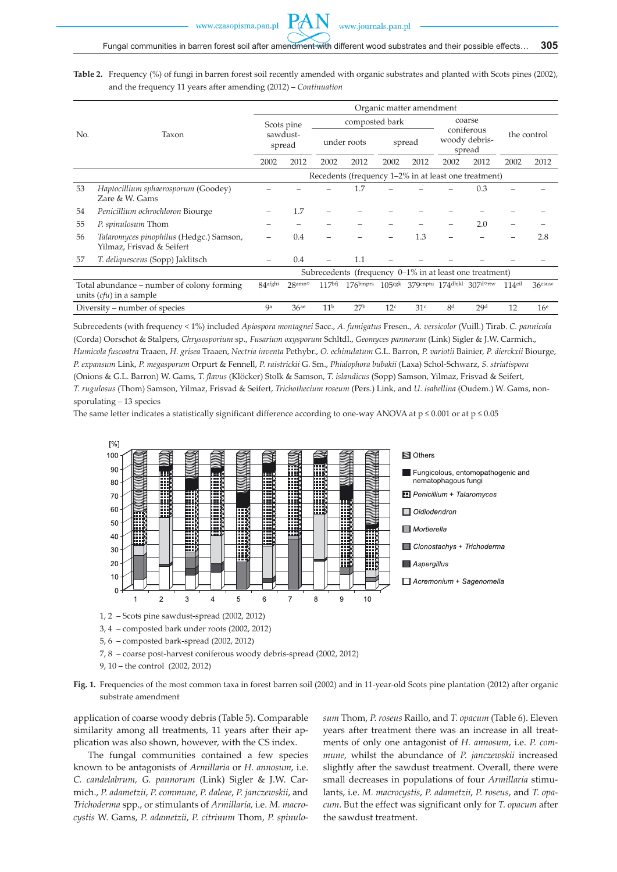

**Table 2.** Frequency (%) of fungi in barren forest soil recently amended with organic substrates and planted with Scots pines (2002), and the frequency 11 years after amending (2012) – *Continuation*

|     |                                                                         | Organic matter amendment                             |                  |                   |                                                            |                 |                 |                                       |                                      |             |                 |
|-----|-------------------------------------------------------------------------|------------------------------------------------------|------------------|-------------------|------------------------------------------------------------|-----------------|-----------------|---------------------------------------|--------------------------------------|-------------|-----------------|
| No. | Taxon                                                                   | Scots pine<br>sawdust-<br>spread                     |                  |                   | composted bark                                             |                 |                 | coarse                                |                                      |             |                 |
|     |                                                                         |                                                      |                  | under roots       |                                                            | spread          |                 | coniferous<br>woody debris-<br>spread |                                      | the control |                 |
|     |                                                                         | 2002                                                 | 2012             | 2002              | 2012                                                       | 2002            | 2012            | 2002                                  | 2012                                 | 2002        | 2012            |
|     |                                                                         | Recedents (frequency 1-2% in at least one treatment) |                  |                   |                                                            |                 |                 |                                       |                                      |             |                 |
| 53  | Haptocillium sphaerosporum (Goodey)<br>Zare & W. Gams                   |                                                      |                  |                   | 1.7                                                        |                 |                 |                                       | 0.3                                  |             |                 |
| 54  | Penicillium ochrochloron Biourge                                        |                                                      | 1.7              |                   |                                                            |                 |                 |                                       |                                      |             |                 |
| 55  | P. spinulosum Thom                                                      |                                                      |                  |                   |                                                            |                 |                 |                                       | 2.0                                  |             |                 |
| 56  | Talaromyces pinophilus (Hedgc.) Samson,<br>Yilmaz, Frisvad & Seifert    |                                                      | 0.4              |                   |                                                            |                 | 1.3             |                                       |                                      |             | 2.8             |
| 57  | T. deliquescens (Sopp) Jaklitsch                                        |                                                      | 0.4              |                   | 1.1                                                        |                 |                 |                                       |                                      |             |                 |
|     |                                                                         |                                                      |                  |                   | Subrecedents (frequency $0-1\%$ in at least one treatment) |                 |                 |                                       |                                      |             |                 |
|     | Total abundance – number of colony forming<br>units $(cfu)$ in a sample | 84afghi                                              | 28amno           | 117 <sup>bf</sup> | $176$ bmprs                                                |                 |                 |                                       | $105$ cgk 379cnptu 174dhjkl 307d°rtw | $114$ eil   | 36esuw          |
|     | Diversity – number of species                                           | <b>Qa</b>                                            | 36 <sup>ae</sup> | 11 <sup>b</sup>   | 27 <sup>b</sup>                                            | 12 <sup>c</sup> | 31 <sup>c</sup> | 8 <sup>d</sup>                        | 29d                                  | 12          | 16 <sup>e</sup> |

Subrecedents (with frequency < 1%) included *Apiospora montagnei* Sacc., *A. fumigatus* Fresen., *A. versicolor* (Vuill.) Tirab. *C. pannicola* (Corda) Oorschot & Stalpers, *Chrysosporium* sp., *Fusarium oxysporum* Schltdl., *Geomyces pannorum* (Link) Sigler & J.W. Carmich., *Humicola fuscoatra* Traaen, *H. grisea* Traaen, *Nectria inventa* Pethybr., *O. echinulatum* G.L. Barron, *P. variotii* Bainier, *P. dierckxii* Biourge, *P. expansum* Link, *P. megasporum* Orpurt & Fennell, *P. raistrickii* G. Sm., *Phialophora bubakii* (Laxa) Schol-Schwarz, *S. striatispora* (Onions & G.L. Barron) W. Gams, *T. flavus* (Klöcker) Stolk & Samson, *T. islandicus* (Sopp) Samson, Yilmaz, Frisvad & Seifert, *T. rugulosus* (Thom) Samson, Yilmaz, Frisvad & Seifert, *Trichothecium roseum* (Pers.) Link, and *U. isabellina* (Oudem.) W. Gams, nonsporulating – 13 species

The same letter indicates a statistically significant difference according to one-way ANOVA at  $p \le 0.001$  or at  $p \le 0.05$ 



- 
- 5, 6 composted bark-spread (2002, 2012)
- 7, 8 coarse post-harvest coniferous woody debris-spread (2002, 2012)
- 9, 10 the control (2002, 2012)

**Fig. 1.** Frequencies of the most common taxa in forest barren soil (2002) and in 11-year-old Scots pine plantation (2012) after organic substrate amendment

application of coarse woody debris (Table 5). Comparable similarity among all treatments, 11 years after their application was also shown, however, with the CS index.

The fungal communities contained a few species known to be antagonists of *Armillaria* or *H. annosum*, i.e. *C. candelabrum, G. pannorum* (Link) Sigler & J.W. Carmich., *P. adametzii*, *P. commune*, *P. daleae*, *P. janczewskii*, and *Trichoderma* spp., or stimulants of *Armillaria,* i.e. *M. macrocystis* W. Gams, *P. adametzii*, *P. citrinum* Thom, *P. spinulo-* *sum* Thom, *P. roseus* Raillo, and *T. opacum* (Table 6). Eleven years after treatment there was an increase in all treatments of only one antagonist of *H. annosum*, i.e. *P. commune*, whilst the abundance of *P. janczewskii* increased slightly after the sawdust treatment. Overall, there were small decreases in populations of four *Armillaria* stimulants, i.e. *M. macrocystis*, *P. adametzii*, *P. roseus*, and *T. opacum*. But the effect was significant only for *T. opacum* after the sawdust treatment.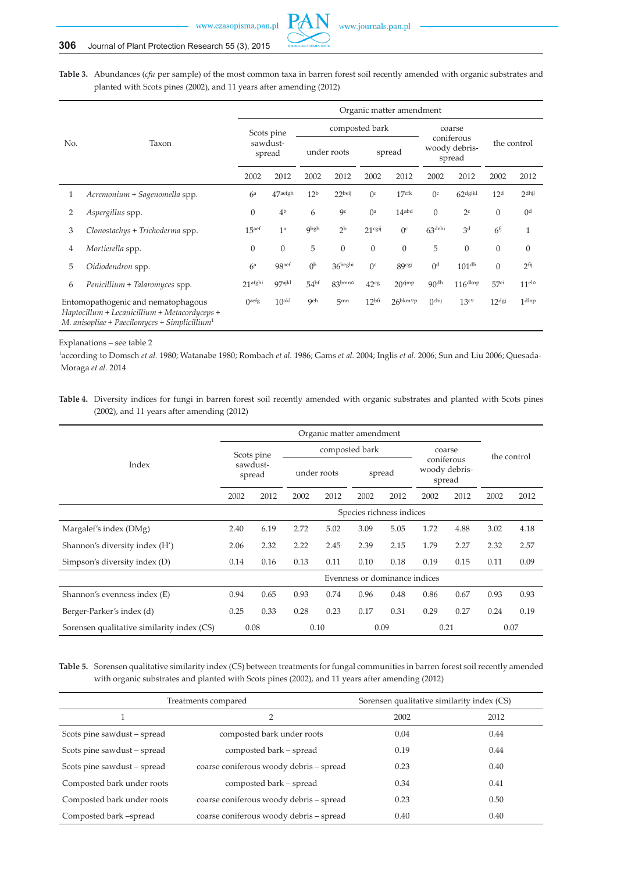

**Table 3.** Abundances (*cfu* per sample) of the most common taxa in barren forest soil recently amended with organic substrates and planted with Scots pines (2002), and 11 years after amending (2012)

|                                                                                                                                                     |                                 | Organic matter amendment         |                   |                 |                 |                      |                           |                                       |                       |                   |                   |  |
|-----------------------------------------------------------------------------------------------------------------------------------------------------|---------------------------------|----------------------------------|-------------------|-----------------|-----------------|----------------------|---------------------------|---------------------------------------|-----------------------|-------------------|-------------------|--|
| No.                                                                                                                                                 | Taxon                           | Scots pine<br>sawdust-<br>spread |                   | composted bark  |                 |                      |                           | coarse                                |                       |                   |                   |  |
|                                                                                                                                                     |                                 |                                  |                   | under roots     |                 | spread               |                           | coniferous<br>woody debris-<br>spread |                       | the control       |                   |  |
|                                                                                                                                                     |                                 | 2002                             | 2012              | 2002            | 2012            | 2002                 | 2012                      | 2002                                  | 2012                  | 2002              | 2012              |  |
| 1                                                                                                                                                   | Acremonium + Sagenomella spp.   | 6 <sup>a</sup>                   | $47$ aefgh        | 12 <sup>b</sup> | 22beij          | $()$ c               | $17$ cfk                  | $()$ c                                | 62 <sup>d</sup> gikl  | 12 <sup>d</sup>   | $2$ dhjl          |  |
| 2                                                                                                                                                   | Aspergillus spp.                | $\Omega$                         | 4 <sup>b</sup>    | 6               | 9 <sup>c</sup>  | () <sup>a</sup>      | 14 <sub>abd</sub>         | $\Omega$                              | 2 <sup>c</sup>        | $\mathbf{0}$      | 0 <sup>d</sup>    |  |
| 3                                                                                                                                                   | Clonostachys + Trichoderma spp. | 15 <sup>aef</sup>                | 1 <sup>a</sup>    | <b>Qbgh</b>     | 2 <sup>b</sup>  | $21$ <sup>cgij</sup> | O <sup>c</sup>            | 63 <sup>dehi</sup>                    | 3 <sup>d</sup>        | 6 <sup>f</sup>    | $\mathbf{1}$      |  |
| 4                                                                                                                                                   | Mortierella spp.                | $\mathbf{0}$                     | $\mathbf{0}$      | 5               | $\overline{0}$  | $\mathbf{0}$         | $\overline{0}$            | 5                                     | $\Omega$              | $\mathbf{0}$      | $\theta$          |  |
| 5                                                                                                                                                   | Oidiodendron spp.               | 6 <sup>a</sup>                   | 98aef             | (1)             | 36beghi         | 0 <sup>c</sup>       | 89cgj                     | 0 <sup>d</sup>                        | 101 <sup>dh</sup>     | $\mathbf{0}$      | 2fij              |  |
| 6                                                                                                                                                   | Penicillium + Talaromyces spp.  | 21 <sup>afghi</sup>              | 97ajkl            | $54^{bf}$       | $83^{bmno}$     | 42 <sup>cg</sup>     | $20$ cjmp                 | 90 <sup>dh</sup>                      | $116$ <sup>dknp</sup> | 57 <sup>ei</sup>  | 11 <sup>elo</sup> |  |
| Entomopathogenic and nematophagous<br>Haptocillum + Lecanicillium + Metacordyceps +<br>$M$ . anisopliae + Paecilomyces + Simplicillium <sup>1</sup> |                                 | O <sub>defg</sub>                | 10 <sub>akl</sub> | <b>Geh</b>      | 5 <sub>mn</sub> | 12 <sup>bfi</sup>    | $26^{bkm}$ <sup>o</sup> p | ()chij                                | 13 <sup>c</sup> °     | 12 <sup>dgj</sup> | 1 <sup>d</sup>    |  |

Explanations – see table 2

1according to Domsch *et al.* 1980; Watanabe 1980; Rombach *et al.* 1986; Gams *et al.* 2004; Inglis *et al.* 2006; Sun and Liu 2006; Quesada- Moraga *et al.* 2014

**Table 4.** Diversity indices for fungi in barren forest soil recently amended with organic substrates and planted with Scots pines (2002), and 11 years after amending (2012)

|                                            | Scots pine<br>sawdust-<br>spread |      |             |      | composted bark                |      | coarse                                |      | the control |      |  |
|--------------------------------------------|----------------------------------|------|-------------|------|-------------------------------|------|---------------------------------------|------|-------------|------|--|
| Index                                      |                                  |      | under roots |      | spread                        |      | coniferous<br>woody debris-<br>spread |      |             |      |  |
|                                            | 2002                             | 2012 | 2002        | 2012 | 2002                          | 2012 | 2002                                  | 2012 | 2002        | 2012 |  |
|                                            | Species richness indices         |      |             |      |                               |      |                                       |      |             |      |  |
| Margalef's index (DMg)                     | 2.40                             | 6.19 | 2.72        | 5.02 | 3.09                          | 5.05 | 1.72                                  | 4.88 | 3.02        | 4.18 |  |
| Shannon's diversity index (H')             | 2.06                             | 2.32 | 2.22        | 2.45 | 2.39                          | 2.15 | 1.79                                  | 2.27 | 2.32        | 2.57 |  |
| Simpson's diversity index (D)              | 0.14                             | 0.16 | 0.13        | 0.11 | 0.10                          | 0.18 | 0.19                                  | 0.15 | 0.11        | 0.09 |  |
|                                            |                                  |      |             |      | Evenness or dominance indices |      |                                       |      |             |      |  |
| Shannon's evenness index (E)               | 0.94                             | 0.65 | 0.93        | 0.74 | 0.96                          | 0.48 | 0.86                                  | 0.67 | 0.93        | 0.93 |  |
| Berger-Parker's index (d)                  | 0.25                             | 0.33 | 0.28        | 0.23 | 0.17                          | 0.31 | 0.29                                  | 0.27 | 0.24        | 0.19 |  |
| Sorensen qualitative similarity index (CS) |                                  | 0.08 |             | 0.10 |                               | 0.09 |                                       | 0.21 |             | 0.07 |  |

**Table 5.** Sorensen qualitative similarity index (CS) between treatments for fungal communities in barren forest soil recently amended with organic substrates and planted with Scots pines (2002), and 11 years after amending (2012)

|                             | Treatments compared                     | Sorensen qualitative similarity index (CS) |      |  |  |
|-----------------------------|-----------------------------------------|--------------------------------------------|------|--|--|
|                             | $\overline{2}$                          | 2002                                       | 2012 |  |  |
| Scots pine sawdust – spread | composted bark under roots              | 0.04                                       | 0.44 |  |  |
| Scots pine sawdust – spread | composted bark – spread                 | 0.19                                       | 0.44 |  |  |
| Scots pine sawdust – spread | coarse coniferous woody debris - spread | 0.23                                       | 0.40 |  |  |
| Composted bark under roots  | composted bark – spread                 | 0.34                                       | 0.41 |  |  |
| Composted bark under roots  | coarse coniferous woody debris - spread | 0.23                                       | 0.50 |  |  |
| Composted bark -spread      | coarse coniferous woody debris - spread | 0.40                                       | 0.40 |  |  |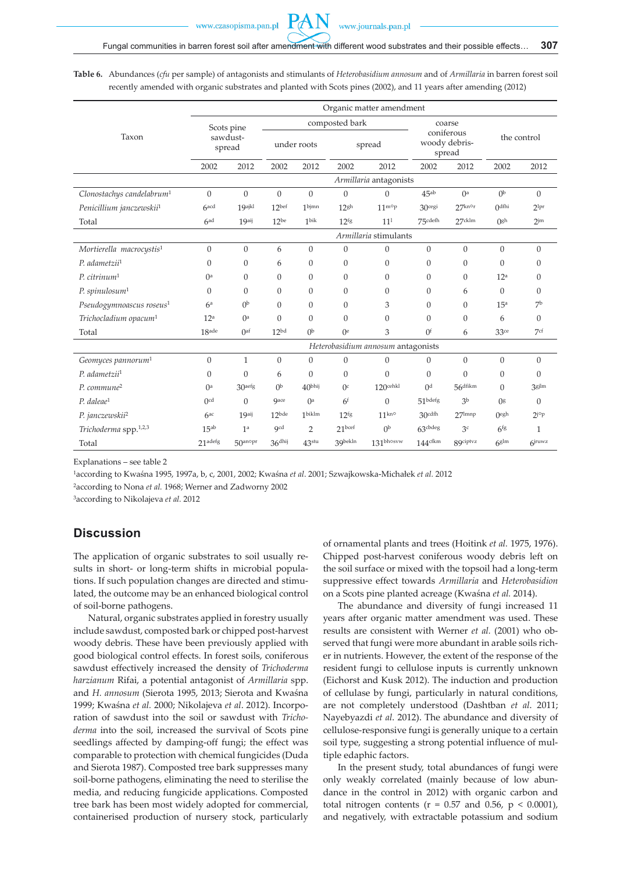**Table 6.** Abundances (*cfu* per sample) of antagonists and stimulants of *Heterobasidium annosum* and of *Armillaria* in barren forest soil recently amended with organic substrates and planted with Scots pines (2002), and 11 years after amending (2012)

| Organic matter amendment              |                                  |                     |                     |                   |                    |                                    |                                       |                  |                   |                 |
|---------------------------------------|----------------------------------|---------------------|---------------------|-------------------|--------------------|------------------------------------|---------------------------------------|------------------|-------------------|-----------------|
|                                       | Scots pine<br>sawdust-<br>spread |                     |                     |                   | composted bark     |                                    | coarse                                |                  |                   |                 |
| Taxon                                 |                                  |                     | under roots         |                   | spread             |                                    | coniferous<br>woody debris-<br>spread |                  | the control       |                 |
|                                       | 2002                             | 2012                | 2002                | 2012              | 2002               | 2012                               | 2002                                  | 2012             | 2002              | 2012            |
|                                       |                                  |                     |                     |                   |                    | Armillaria antagonists             |                                       |                  |                   |                 |
| Clonostachys candelabrum <sup>1</sup> | $\boldsymbol{0}$                 | $\boldsymbol{0}$    | $\theta$            | $\overline{0}$    | $\boldsymbol{0}$   | $\boldsymbol{0}$                   | $45^{ab}$                             | 0 <sup>a</sup>   | (1)               | $\mathbf{0}$    |
| Penicillium janczewskii <sup>1</sup>  | $6$ <sub>acd</sub>               | 19 <sup>ajkl</sup>  | 12 <sup>bef</sup>   | 1bjmn             | 12 <sup>gh</sup>   | $11^{mop}$                         | 30cegi                                | $27$ knor        | $0^{\text{dfhi}}$ | $2^{lpr}$       |
| Total                                 | 6 <sup>ad</sup>                  | 19aij               | $12^{be}$           | 1 <sup>bik</sup>  | 12 <sup>fg</sup>   | 11 <sup>1</sup>                    | 75cdefh                               | $27$ cklm        | Ogh               | 2 <sub>jm</sub> |
|                                       |                                  |                     |                     |                   |                    | Armillaria stimulants              |                                       |                  |                   |                 |
| Mortierella macrocystis <sup>1</sup>  | $\boldsymbol{0}$                 | $\boldsymbol{0}$    | 6                   | $\boldsymbol{0}$  | $\boldsymbol{0}$   | $\boldsymbol{0}$                   | $\overline{0}$                        | $\mathbf{0}$     | $\boldsymbol{0}$  | $\overline{0}$  |
| P. adametzii <sup>1</sup>             | $\Omega$                         | $\theta$            | 6                   | $\mathbf{0}$      | $\mathbf{0}$       | $\theta$                           | $\Omega$                              | $\theta$         | $\mathbf{0}$      | $\mathbf{0}$    |
| $P.$ citrinum <sup>1</sup>            | () <sup>a</sup>                  | $\theta$            | $\theta$            | $\mathbf{0}$      | $\boldsymbol{0}$   | $\mathbf{0}$                       | $\Omega$                              | $\theta$         | 12 <sup>a</sup>   | $\mathbf{0}$    |
| P. spin ulosum <sup>1</sup>           | $\Omega$                         | $\Omega$            | $\Omega$            | $\mathbf{0}$      | $\mathbf{0}$       | $\mathbf{0}$                       | $\Omega$                              | 6                | $\mathbf{0}$      | $\mathbf{0}$    |
| Pseudogymnoascus roseus <sup>1</sup>  | 6 <sup>a</sup>                   | 0 <sup>b</sup>      | $\mathbf{0}$        | $\mathbf{0}$      | $\mathbf{0}$       | 3                                  | $\Omega$                              | $\theta$         | 15 <sup>a</sup>   | 7 <sup>b</sup>  |
| Trichocladium opacum <sup>1</sup>     | 12 <sup>a</sup>                  | $0^a$               | $\theta$            | $\mathbf{0}$      | $\mathbf{0}$       | $\theta$                           | $\Omega$                              | $\theta$         | 6                 | $\mathbf{0}$    |
| Total                                 | 18 <sub>ade</sub>                | $()$ af             | 12 <sub>bd</sub>    | (1)               | $0^{\rm e}$        | 3                                  | 0 <sup>f</sup>                        | 6                | 33 <sup>ce</sup>  | 7 <sup>cf</sup> |
|                                       |                                  |                     |                     |                   |                    | Heterobasidium annosum antagonists |                                       |                  |                   |                 |
| Geomyces pannorum <sup>1</sup>        | $\boldsymbol{0}$                 | $\mathbf{1}$        | $\boldsymbol{0}$    | $\mathbf{0}$      | $\boldsymbol{0}$   | $\boldsymbol{0}$                   | $\mathbf{0}$                          | $\boldsymbol{0}$ | $\boldsymbol{0}$  | $\mathbf{0}$    |
| $P.$ adametzii <sup>1</sup>           | $\overline{0}$                   | $\theta$            | 6                   | $\theta$          | $\mathbf{0}$       | $\mathbf{0}$                       | $\Omega$                              | $\overline{0}$   | $\boldsymbol{0}$  | $\mathbf{0}$    |
| P. commune <sup>2</sup>               | () <sup>a</sup>                  | 30aefg              | (1)                 | 40bhij            | $()$ c             | $120$ cehkl                        | $^{0d}$                               | $56$ dfikm       | $\overline{0}$    | 3gjlm           |
| $P_{\rm c}$ daleae <sup>1</sup>       | 0 <sup>cd</sup>                  | $\Omega$            | <b>gace</b>         | $()^a$            | 6 <sup>f</sup>     | $\theta$                           | 51 <sup>bdefg</sup>                   | 3 <sup>b</sup>   | 0 <sup>g</sup>    | $\mathbf{0}$    |
| P. janczewskii <sup>2</sup>           | 6ac                              | 19aij               | $12$ <sub>bde</sub> | 1biklm            | 12 <sup>fg</sup>   | 11 <sup>kn</sup>                   | 30cdfh                                | $27$ lmnp        | $O$ egh           | $2^{j \circ p}$ |
| Trichoderma spp. <sup>1,2,3</sup>     | 15 <sub>ab</sub>                 | 1 <sup>a</sup>      | <b>Qcd</b>          | $\overline{2}$    | 21 <sub>best</sub> | 0 <sup>b</sup>                     | 63cbdeg                               | 3 <sup>c</sup>   | 6 <sup>fg</sup>   | $\mathbf{1}$    |
| Total                                 | 21 <sup>adefg</sup>              | 50 <sup>anopr</sup> | 36 <sup>dhij</sup>  | 43 <sup>stu</sup> | 39bekln            | 131bhosyw                          | $144^{\text{cfkm}}$                   | 89ciptvz         | $6g$ lm           | $6$ jruwz       |

Explanations – see table 2

<sup>1</sup>according to Kwaśna 1995, 1997a, b, c, 2001, 2002; Kwaśna *et al*. 2001; Szwajkowska-Michałek *et al.* 2012

<sup>2</sup>according to Nona *et al.* 1968; Werner and Zadworny 2002

3according to Nikolajeva *et al.* 2012

### **Discussion**

The application of organic substrates to soil usually results in short- or long-term shifts in microbial populations. If such population changes are directed and stimulated, the outcome may be an enhanced biological control of soil-borne pathogens.

Natural, organic substrates applied in forestry usually include sawdust, composted bark or chipped post-harvest woody debris. These have been previously applied with good biological control effects. In forest soils, coniferous sawdust effectively increased the density of *Trichoderma harzianum* Rifai, a potential antagonist of *Armillaria* spp. and *H. annosum* (Sierota 1995, 2013; Sierota and Kwaśna 1999; Kwaśna *et al.* 2000; Nikolajeva *et al*. 2012). Incorporation of sawdust into the soil or sawdust with *Trichoderma* into the soil, increased the survival of Scots pine seedlings affected by damping-off fungi; the effect was comparable to protection with chemical fungicides (Duda and Sierota 1987). Composted tree bark suppresses many soil-borne pathogens, eliminating the need to sterilise the media, and reducing fungicide applications. Composted tree bark has been most widely adopted for commercial, containerised production of nursery stock, particularly of ornamental plants and trees (Hoitink *et al.* 1975, 1976). Chipped post-harvest coniferous woody debris left on the soil surface or mixed with the topsoil had a long-term suppressive effect towards *Armillaria* and *Heterobasidion*  on a Scots pine planted acreage (Kwaśna *et al.* 2014).

The abundance and diversity of fungi increased 11 years after organic matter amendment was used. These results are consistent with Werner *et al.* (2001) who observed that fungi were more abundant in arable soils richer in nutrients. However, the extent of the response of the resident fungi to cellulose inputs is currently unknown (Eichorst and Kusk 2012). The induction and production of cellulase by fungi, particularly in natural conditions, are not completely understood (Dashtban *et al*. 2011; Nayebyazdi *et al*. 2012). The abundance and diversity of cellulose-responsive fungi is generally unique to a certain soil type, suggesting a strong potential influence of multiple edaphic factors.

In the present study, total abundances of fungi were only weakly correlated (mainly because of low abundance in the control in 2012) with organic carbon and total nitrogen contents ( $r = 0.57$  and 0.56,  $p \le 0.0001$ ), and negatively, with extractable potassium and sodium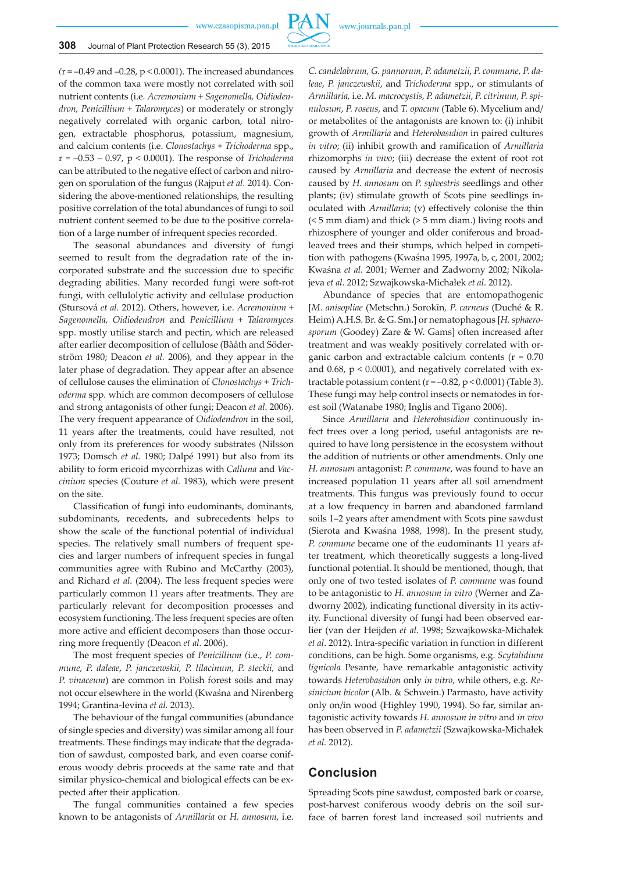

*(*r = –0.49 and –0.28, p < 0.0001). The increased abundances of the common taxa were mostly not correlated with soil nutrient contents (i.e. *Acremonium* + *Sagenomella, Oidiodendron, Penicillium + Talaromyces*) or moderately or strongly negatively correlated with organic carbon, total nitrogen, extractable phosphorus, potassium, magnesium, and calcium contents (i.e. *Clonostachys* + *Trichoderma* spp., r = –0.53 – 0.97, p < 0.0001). The response of *Trichoderma* can be attributed to the negative effect of carbon and nitrogen on sporulation of the fungus (Rajput *et al.* 2014). Considering the above-mentioned relationships, the resulting positive correlation of the total abundances of fungi to soil nutrient content seemed to be due to the positive correlation of a large number of infrequent species recorded.

The seasonal abundances and diversity of fungi seemed to result from the degradation rate of the incorporated substrate and the succession due to specific degrading abilities. Many recorded fungi were soft-rot fungi, with cellulolytic activity and cellulase production (Stursová *et al.* 2012). Others, however, i.e. *Acremonium* + *Sagenomella, Oidiodendron* and *Penicillium + Talaromyces* spp. mostly utilise starch and pectin, which are released after earlier decomposition of cellulose (Bååth and Söderström 1980; Deacon *et al.* 2006), and they appear in the later phase of degradation. They appear after an absence of cellulose causes the elimination of *Clonostachys* + *Trichoderma* spp. which are common decomposers of cellulose and strong antagonists of other fungi; Deacon *et al*. 2006). The very frequent appearance of *Oidiodendron* in the soil, 11 years after the treatments, could have resulted, not only from its preferences for woody substrates (Nilsson 1973; Domsch *et al.* 1980; Dalpé 1991) but also from its ability to form ericoid mycorrhizas with *Calluna* and *Vaccinium* species (Couture *et al.* 1983), which were present on the site.

Classification of fungi into eudominants, dominants, subdominants, recedents, and subrecedents helps to show the scale of the functional potential of individual species. The relatively small numbers of frequent species and larger numbers of infrequent species in fungal communities agree with Rubino and McCarthy (2003), and Richard *et al.* (2004). The less frequent species were particularly common 11 years after treatments. They are particularly relevant for decomposition processes and ecosystem functioning. The less frequent species are often more active and efficient decomposers than those occurring more frequently (Deacon *et al.* 2006).

The most frequent species of *Penicillium (*i.e., *P. commune*, *P. daleae*, *P. janczewskii, P. lilacinum, P. steckii,* and *P. vinaceum*) are common in Polish forest soils and may not occur elsewhere in the world (Kwaśna and Nirenberg 1994; Grantina-Ievina *et al.* 2013).

The behaviour of the fungal communities (abundance of single species and diversity) was similar among all four treatments. These findings may indicate that the degradation of sawdust, composted bark, and even coarse coniferous woody debris proceeds at the same rate and that similar physico-chemical and biological effects can be expected after their application.

The fungal communities contained a few species known to be antagonists of *Armillaria* or *H. annosum*, i.e. *C. candelabrum, G. pannorum*, *P. adametzii*, *P. commune*, *P. daleae*, *P. janczewskii*, and *Trichoderma* spp., or stimulants of *Armillaria,* i.e. *M. macrocystis*, *P. adametzii*, *P. citrinum*, *P. spinulosum*, *P. roseus*, and *T. opacum* (Table 6). Mycelium and/ or metabolites of the antagonists are known to: (i) inhibit growth of *Armillaria* and *Heterobasidion* in paired cultures *in vitro*; (ii) inhibit growth and ramification of *Armillaria*  rhizomorphs *in vivo*; (iii) decrease the extent of root rot caused by *Armillaria* and decrease the extent of necrosis caused by *H. annosum* on *P. sylvestris* seedlings and other plants; (iv) stimulate growth of Scots pine seedlings inoculated with *Armillaria*; (v) effectively colonise the thin (< 5 mm diam) and thick (> 5 mm diam.) living roots and rhizosphere of younger and older coniferous and broadleaved trees and their stumps, which helped in competition with pathogens (Kwaśna 1995, 1997a, b, c, 2001, 2002; Kwaśna *et al.* 2001; Werner and Zadworny 2002; Nikolajeva *et al*. 2012; Szwajkowska-Michałek *et al*. 2012).

Abundance of species that are entomopathogenic [*M. anisopliae* (Metschn.) Sorokīn*, P. carneus* (Duché & R. Heim) A.H.S. Br. & G. Sm*.*] or nematophagous [*H. sphaerosporum* (Goodey) Zare & W. Gams] often increased after treatment and was weakly positively correlated with organic carbon and extractable calcium contents  $(r = 0.70)$ and 0.68, p < 0.0001), and negatively correlated with extractable potassium content ( $r = -0.82$ ,  $p < 0.0001$ ) (Table 3). These fungi may help control insects or nematodes in forest soil (Watanabe 1980; Inglis and Tigano 2006).

Since *Armillaria* and *Heterobasidion* continuously infect trees over a long period, useful antagonists are required to have long persistence in the ecosystem without the addition of nutrients or other amendments. Only one *H. annosum* antagonist: *P. commune*, was found to have an increased population 11 years after all soil amendment treatments. This fungus was previously found to occur at a low frequency in barren and abandoned farmland soils 1–2 years after amendment with Scots pine sawdust (Sierota and Kwaśna 1988, 1998). In the present study, *P. commune* became one of the eudominants 11 years after treatment, which theoretically suggests a long-lived functional potential. It should be mentioned, though, that only one of two tested isolates of *P. commune* was found to be antagonistic to *H. annosum in vitro* (Werner and Zadworny 2002), indicating functional diversity in its activity. Functional diversity of fungi had been observed earlier (van der Heijden *et al.* 1998; Szwajkowska-Michałek *et al*. 2012). Intra-specific variation in function in different conditions, can be high. Some organisms, e.g. *Scytalidium lignicola* Pesante, have remarkable antagonistic activity towards *Heterobasidion* only *in vitro*, while others, e.g. *Resinicium bicolor* (Alb. & Schwein.) Parmasto, have activity only on/in wood (Highley 1990, 1994). So far, similar antagonistic activity towards *H. annosum in vitro* and *in vivo* has been observed in *P. adametzii* (Szwajkowska-Michałek *et al.* 2012).

## **Conclusion**

Spreading Scots pine sawdust, composted bark or coarse, post-harvest coniferous woody debris on the soil surface of barren forest land increased soil nutrients and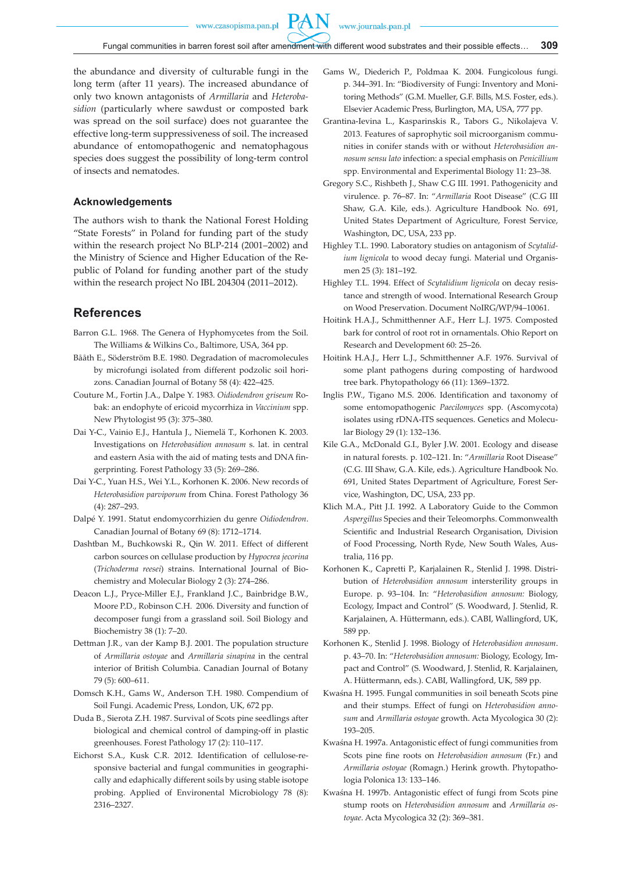www.czasopisma.pan.pl

PA

the abundance and diversity of culturable fungi in the long term (after 11 years). The increased abundance of only two known antagonists of *Armillaria* and *Heterobasidion* (particularly where sawdust or composted bark was spread on the soil surface) does not guarantee the effective long-term suppressiveness of soil. The increased abundance of entomopathogenic and nematophagous species does suggest the possibility of long-term control of insects and nematodes.

#### **Acknowledgements**

The authors wish to thank the National Forest Holding "State Forests" in Poland for funding part of the study within the research project No BLP-214 (2001–2002) and the Ministry of Science and Higher Education of the Republic of Poland for funding another part of the study within the research project No IBL 204304 (2011–2012).

# **References**

- Barron G.L. 1968. The Genera of Hyphomycetes from the Soil. The Williams & Wilkins Co., Baltimore, USA, 364 pp.
- Bååth E., Söderström B.E. 1980. Degradation of macromolecules by microfungi isolated from different podzolic soil horizons. Canadian Journal of Botany 58 (4): 422–425.
- Couture M., Fortin J.A., Dalpe Y. 1983. *Oidiodendron griseum* Robak: an endophyte of ericoid mycorrhiza in *Vaccinium* spp. New Phytologist 95 (3): 375–380.
- Dai Y-C., Vainio E.J., Hantula J., Niemelä T., Korhonen K. 2003. Investigations on *Heterobasidion annosum* s. lat. in central and eastern Asia with the aid of mating tests and DNA fingerprinting. Forest Pathology 33 (5): 269–286.
- Dai Y-C., Yuan H.S., Wei Y.L., Korhonen K. 2006. New records of *Heterobasidion parviporum* from China. Forest Pathology 36 (4): 287–293.
- Dalpé Y. 1991. Statut endomycorrhizien du genre *Oidiodendron*. Canadian Journal of Botany 69 (8): 1712–1714.
- Dashtban M., Buchkowski R., Qin W. 2011. Effect of different carbon sources on cellulase production by *Hypocrea jecorina* (*Trichoderma reesei*) strains. International Journal of Biochemistry and Molecular Biology 2 (3): 274–286.
- Deacon L.J., Pryce-Miller E.J., Frankland J.C., Bainbridge B.W., Moore P.D., Robinson C.H. 2006. Diversity and function of decomposer fungi from a grassland soil. Soil Biology and Biochemistry 38 (1): 7–20.
- Dettman J.R., van der Kamp B.J. 2001. The population structure of *Armillaria ostoyae* and *Armillaria sinapina* in the central interior of British Columbia. Canadian Journal of Botany 79 (5): 600–611.
- Domsch K.H.*,* Gams W., Anderson T.H. 1980. Compendium of Soil Fungi. Academic Press, London, UK, 672 pp.
- Duda B., Sierota Z.H. 1987. Survival of Scots pine seedlings after biological and chemical control of damping-off in plastic greenhouses. Forest Pathology 17 (2): 110–117.
- Eichorst S.A., Kusk C.R. 2012. Identification of cellulose-responsive bacterial and fungal communities in geographically and edaphically different soils by using stable isotope probing. Applied of Environental Microbiology 78 (8): 2316–2327.
- Gams W., Diederich P., Poldmaa K. 2004. Fungicolous fungi. p. 344–391. In: "Biodiversity of Fungi: Inventory and Monitoring Methods" (G.M. Mueller, G.F. Bills, M.S. Foster, eds.). Elsevier Academic Press, Burlington, MA, USA, 777 pp.
- Grantina-Ievina L., Kasparinskis R., Tabors G., Nikolajeva V. 2013. Features of saprophytic soil microorganism communities in conifer stands with or without *Heterobasidion annosum sensu lato* infection: a special emphasis on *Penicillium*  spp. Environmental and Experimental Biology 11: 23–38.
- Gregory S.C., Rishbeth J., Shaw C.G III. 1991. Pathogenicity and virulence. p. 76–87. In: "*Armillaria* Root Disease" (C.G III Shaw, G.A. Kile, eds.). Agriculture Handbook No. 691, United States Department of Agriculture, Forest Service, Washington, DC, USA, 233 pp.
- Highley T.L. 1990. Laboratory studies on antagonism of *Scytalidium lignicola* to wood decay fungi. Material und Organismen 25 (3): 181–192.
- Highley T.L. 1994. Effect of *Scytalidium lignicola* on decay resistance and strength of wood. International Research Group on Wood Preservation. Document NoIRG/WP/94–10061.
- Hoitink H.A.J., Schmitthenner A.F., Herr L.J. 1975. Composted bark for control of root rot in ornamentals. Ohio Report on Research and Development 60: 25–26.
- Hoitink H.A.J., Herr L.J., Schmitthenner A.F. 1976. Survival of some plant pathogens during composting of hardwood tree bark. Phytopathology 66 (11): 1369–1372.
- Inglis P.W., Tigano M.S. 2006. Identification and taxonomy of some entomopathogenic *Paecilomyces* spp. (Ascomycota) isolates using rDNA-ITS sequences. Genetics and Molecular Biology 29 (1): 132–136.
- Kile G.A., McDonald G.I., Byler J.W. 2001. Ecology and disease in natural forests. p. 102–121. In: "*Armillaria* Root Disease" (C.G. III Shaw, G.A. Kile, eds.). Agriculture Handbook No. 691, United States Department of Agriculture, Forest Service, Washington, DC, USA, 233 pp.
- Klich M.A., Pitt J.I. 1992. A Laboratory Guide to the Common *Aspergillus* Species and their Teleomorphs. Commonwealth Scientific and Industrial Research Organisation, Division of Food Processing, North Ryde, New South Wales, Australia, 116 pp.
- Korhonen K., Capretti P., Karjalainen R., Stenlid J. 1998. Distribution of *Heterobasidion annosum* intersterility groups in Europe. p. 93–104. In: "*Heterobasidion annosum:* Biology, Ecology, Impact and Control" (S. Woodward, J. Stenlid, R. Karjalainen, A. Hüttermann, eds.). CABI, Wallingford, UK, 589 pp.
- Korhonen K., Stenlid J. 1998. Biology of *Heterobasidion annosum*. p. 43–70. In: "*Heterobasidion annosum:* Biology, Ecology, Impact and Control" (S. Woodward, J. Stenlid, R. Karjalainen, A. Hüttermann, eds.). CABI, Wallingford, UK, 589 pp.
- Kwaśna H. 1995. Fungal communities in soil beneath Scots pine and their stumps. Effect of fungi on *Heterobasidion annosum* and *Armillaria ostoyae* growth. Acta Mycologica 30 (2): 193–205.
- Kwaśna H. 1997a. Antagonistic effect of fungi communities from Scots pine fine roots on *Heterobasidion annosum* (Fr.) and *Armillaria ostoyae* (Romagn.) Herink growth. Phytopathologia Polonica 13: 133–146.
- Kwaśna H. 1997b. Antagonistic effect of fungi from Scots pine stump roots on *Heterobasidion annosum* and *Armillaria ostoyae*. Acta Mycologica 32 (2): 369–381.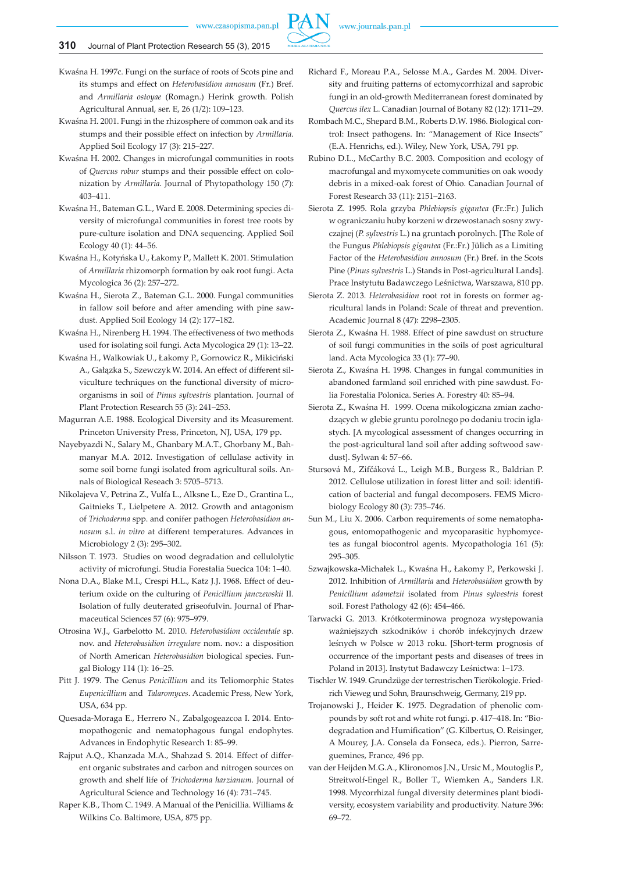

Kwaśna H. 1997c. Fungi on the surface of roots of Scots pine and its stumps and effect on *Heterobasidion annosum* (Fr.) Bref. and *Armillaria ostoyae* (Romagn.) Herink growth. Polish Agricultural Annual, ser. E, 26 (1/2): 109–123.

Kwaśna H. 2001. Fungi in the rhizosphere of common oak and its stumps and their possible effect on infection by *Armillaria*. Applied Soil Ecology 17 (3): 215–227.

- Kwaśna H. 2002. Changes in microfungal communities in roots of *Quercus robur* stumps and their possible effect on colonization by *Armillaria*. Journal of Phytopathology 150 (7): 403–411.
- Kwaśna H., Bateman G.L., Ward E. 2008. Determining species diversity of microfungal communities in forest tree roots by pure-culture isolation and DNA sequencing. Applied Soil Ecology 40 (1): 44–56.
- Kwaśna H., Kotyńska U., Łakomy P., Mallett K. 2001. Stimulation of *Armillaria* rhizomorph formation by oak root fungi. Acta Mycologica 36 (2): 257–272.
- Kwaśna H., Sierota Z., Bateman G.L. 2000. Fungal communities in fallow soil before and after amending with pine sawdust. Applied Soil Ecology 14 (2): 177–182.
- Kwaśna H., Nirenberg H. 1994. The effectiveness of two methods used for isolating soil fungi. Acta Mycologica 29 (1): 13–22.
- Kwaśna H., Walkowiak U., Łakomy P., Gornowicz R., Mikiciński A., Gałązka S., SzewczykW. 2014. An effect of different silviculture techniques on the functional diversity of microorganisms in soil of *Pinus sylvestris* plantation. Journal of Plant Protection Research 55 (3): 241–253.
- Magurran A.E. 1988. Ecological Diversity and its Measurement. Princeton University Press, Princeton, NJ, USA, 179 pp.
- Nayebyazdi N., Salary M., Ghanbary M.A.T., Ghorbany M., Bahmanyar M.A. 2012. Investigation of cellulase activity in some soil borne fungi isolated from agricultural soils. Annals of Biological Reseach 3: 5705–5713.
- Nikolajeva V., Petrina Z., Vulfa L., Alksne L., Eze D., Grantina L., Gaitnieks T., Lielpetere A. 2012. Growth and antagonism of *Trichoderma* spp. and conifer pathogen *Heterobasidion annosum* s.l. *in vitro* at different temperatures. Advances in Microbiology 2 (3): 295–302.
- Nilsson T. 1973. Studies on wood degradation and cellulolytic activity of microfungi. Studia Forestalia Suecica 104: 1–40.
- Nona D.A., Blake M.I., Crespi H.L., Katz J.J. 1968. Effect of deuterium oxide on the culturing of *Penicillium janczewskii* II. Isolation of fully deuterated griseofulvin. Journal of Pharmaceutical Sciences 57 (6): 975–979.
- Otrosina W.J., Garbelotto M. 2010. *Heterobasidion occidentale* sp. nov. and *Heterobasidion irregulare* nom. nov.: a disposition of North American *Heterobasidion* biological species. Fungal Biology 114 (1): 16–25.
- Pitt J. 1979. The Genus *Penicillium* and its Teliomorphic States *Eupenicillium* and *Talaromyces*. Academic Press, New York, USA, 634 pp.
- Quesada-Moraga E., Herrero N., Zabalgogeazcoa I. 2014. Entomopathogenic and nematophagous fungal endophytes. Advances in Endophytic Research 1: 85–99.
- Rajput A.Q., Khanzada M.A., Shahzad S. 2014. Effect of different organic substrates and carbon and nitrogen sources on growth and shelf life of *Trichoderma harzianum.* Journal of Agricultural Science and Technology 16 (4): 731–745.
- Raper K.B., Thom C. 1949. A Manual of the Penicillia. Williams & Wilkins Co. Baltimore, USA, 875 pp.
- Richard F., Moreau P.A., Selosse M.A., Gardes M. 2004. Diversity and fruiting patterns of ectomycorrhizal and saprobic fungi in an old-growth Mediterranean forest dominated by *Quercus ilex* L. Canadian Journal of Botany 82 (12): 1711–29.
- Rombach M.C., Shepard B.M., Roberts D.W. 1986. Biological control: Insect pathogens. In: "Management of Rice Insects" (E.A. Henrichs, ed.). Wiley, New York, USA, 791 pp.
- Rubino D.L., McCarthy B.C. 2003. Composition and ecology of macrofungal and myxomycete communities on oak woody debris in a mixed-oak forest of Ohio. Canadian Journal of Forest Research 33 (11): 2151–2163.
- Sierota Z. 1995. Rola grzyba *Phlebiopsis gigantea* (Fr.:Fr.) Julich w ograniczaniu huby korzeni w drzewostanach sosny zwyczajnej (*P. sylvestris* L.) na gruntach porolnych. [The Role of the Fungus *Phlebiopsis gigantea* (Fr.:Fr.) Jülich as a Limiting Factor of the *Heterobasidion annosum* (Fr.) Bref. in the Scots Pine (*Pinus sylvestris* L.) Stands in Post-agricultural Lands]. Prace Instytutu Badawczego Leśnictwa, Warszawa, 810 pp.
- Sierota Z. 2013. *Heterobasidion* root rot in forests on former agricultural lands in Poland: Scale of threat and prevention. Academic Journal 8 (47): 2298–2305.
- Sierota Z., Kwaśna H. 1988. Effect of pine sawdust on structure of soil fungi communities in the soils of post agricultural land. Acta Mycologica 33 (1): 77–90.
- Sierota Z., Kwaśna H. 1998. Changes in fungal communities in abandoned farmland soil enriched with pine sawdust. Folia Forestalia Polonica. Series A. Forestry 40: 85–94.
- Sierota Z., Kwaśna H. 1999. Ocena mikologiczna zmian zachodzących w glebie gruntu porolnego po dodaniu trocin iglastych. [A mycological assessment of changes occurring in the post-agricultural land soil after adding softwood sawdust]. Sylwan 4: 57–66.
- Stursová M., Zifčáková L., Leigh M.B., Burgess R., Baldrian P. 2012. Cellulose utilization in forest litter and soil: identification of bacterial and fungal decomposers. FEMS Microbiology Ecology 80 (3): 735–746.
- Sun M., Liu X. 2006. Carbon requirements of some nematophagous, entomopathogenic and mycoparasitic hyphomycetes as fungal biocontrol agents. Mycopathologia 161 (5): 295–305.
- Szwajkowska-Michałek L., Kwaśna H., Łakomy P., Perkowski J. 2012. Inhibition of *Armillaria* and *Heterobasidion* growth by *Penicillium adametzii* isolated from *Pinus sylvestris* forest soil. Forest Pathology 42 (6): 454–466.
- Tarwacki G. 2013. Krótkoterminowa prognoza występowania ważniejszych szkodników i chorób infekcyjnych drzew leśnych w Polsce w 2013 roku. [Short-term prognosis of occurrence of the important pests and diseases of trees in Poland in 2013]. Instytut Badawczy Leśnictwa: 1–173.
- Tischler W. 1949. Grundzüge der terrestrischen Tierökologie. Friedrich Vieweg und Sohn, Braunschweig, Germany, 219 pp.
- Trojanowski J., Heider K. 1975. Degradation of phenolic compounds by soft rot and white rot fungi. p. 417–418. In: "Biodegradation and Humification" (G. Kilbertus, O. Reisinger, A Mourey, J.A. Consela da Fonseca, eds.). Pierron, Sarreguemines, France, 496 pp.
- van der Heijden M.G.A., Klironomos J.N., Ursic M., Moutoglis P., Streitwolf-Engel R., Boller T., Wiemken A., Sanders I.R. 1998. Mycorrhizal fungal diversity determines plant biodiversity, ecosystem variability and productivity. Nature 396: 69–72.